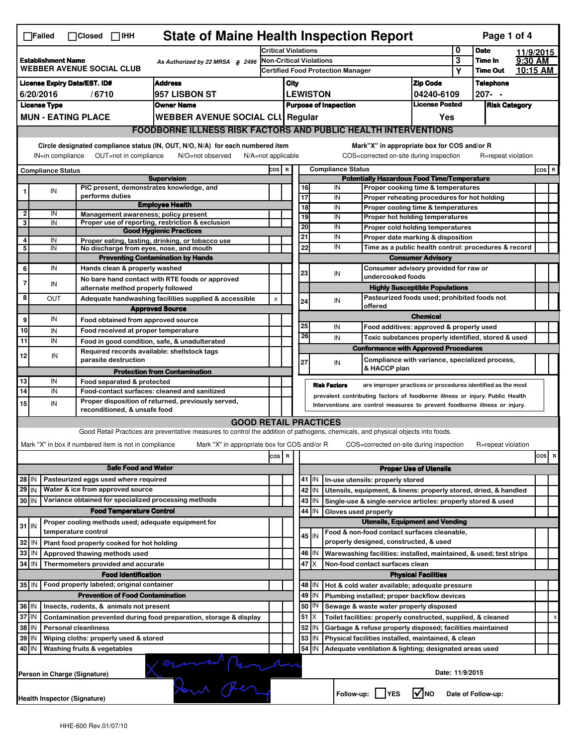| <b>State of Maine Health Inspection Report</b><br>Page 1 of 4<br>$\Box$ Failed<br>$\Box$ Closed $\Box$ IHH                                                                                                                                                                                                                               |                                                                                                           |                                                                     |                                                                                                                                   |         |                                                                                        |                                          |                    |                          |                                                                                               |                               |         |                    |           |         |   |  |
|------------------------------------------------------------------------------------------------------------------------------------------------------------------------------------------------------------------------------------------------------------------------------------------------------------------------------------------|-----------------------------------------------------------------------------------------------------------|---------------------------------------------------------------------|-----------------------------------------------------------------------------------------------------------------------------------|---------|----------------------------------------------------------------------------------------|------------------------------------------|--------------------|--------------------------|-----------------------------------------------------------------------------------------------|-------------------------------|---------|--------------------|-----------|---------|---|--|
|                                                                                                                                                                                                                                                                                                                                          |                                                                                                           |                                                                     |                                                                                                                                   |         | <b>Critical Violations</b>                                                             |                                          |                    |                          |                                                                                               |                               | 0       | <b>Date</b>        | 11/9/2015 |         |   |  |
| <b>Establishment Name</b><br>As Authorized by 22 MRSA § 2496<br><b>WEBBER AVENUE SOCIAL CLUB</b>                                                                                                                                                                                                                                         |                                                                                                           |                                                                     |                                                                                                                                   |         | $\overline{\mathbf{3}}$<br><b>Non-Critical Violations</b>                              |                                          |                    |                          |                                                                                               |                               | Time In | 9:30 AM            |           |         |   |  |
|                                                                                                                                                                                                                                                                                                                                          |                                                                                                           |                                                                     |                                                                                                                                   |         |                                                                                        | <b>Certified Food Protection Manager</b> |                    |                          |                                                                                               |                               | Υ       | <b>Time Out</b>    | 10:15 AM  |         |   |  |
| <b>Address</b><br><b>License Expiry Date/EST. ID#</b><br>957 LISBON ST<br>6/20/2016<br>/6710                                                                                                                                                                                                                                             |                                                                                                           |                                                                     |                                                                                                                                   |         | <b>Zip Code</b><br>City                                                                |                                          |                    |                          | <b>Telephone</b><br>$207 - -$                                                                 |                               |         |                    |           |         |   |  |
| <b>License Type</b><br><b>Owner Name</b>                                                                                                                                                                                                                                                                                                 |                                                                                                           |                                                                     |                                                                                                                                   |         | <b>LEWISTON</b><br>04240-6109<br><b>License Posted</b><br><b>Purpose of Inspection</b> |                                          |                    |                          |                                                                                               | <b>Risk Category</b>          |         |                    |           |         |   |  |
|                                                                                                                                                                                                                                                                                                                                          |                                                                                                           |                                                                     |                                                                                                                                   |         |                                                                                        | Yes                                      |                    |                          |                                                                                               |                               |         |                    |           |         |   |  |
|                                                                                                                                                                                                                                                                                                                                          | <b>MUN - EATING PLACE</b><br><b>WEBBER AVENUE SOCIAL CLI Regular</b>                                      |                                                                     |                                                                                                                                   |         |                                                                                        |                                          |                    |                          |                                                                                               |                               |         |                    |           |         |   |  |
| <b>FOODBORNE ILLNESS RISK FACTORS AND PUBLIC HEALTH INTERVENTIONS</b><br>Circle designated compliance status (IN, OUT, N/O, N/A) for each numbered item<br>Mark"X" in appropriate box for COS and/or R<br>OUT=not in compliance<br>COS=corrected on-site during inspection<br>IN=in compliance<br>N/O=not observed<br>N/A=not applicable |                                                                                                           |                                                                     |                                                                                                                                   |         |                                                                                        |                                          | R=repeat violation |                          |                                                                                               |                               |         |                    |           |         |   |  |
| <b>Compliance Status</b>                                                                                                                                                                                                                                                                                                                 |                                                                                                           |                                                                     |                                                                                                                                   |         | COS R                                                                                  |                                          |                    | <b>Compliance Status</b> |                                                                                               |                               |         |                    |           | $cos$ R |   |  |
|                                                                                                                                                                                                                                                                                                                                          |                                                                                                           |                                                                     | <b>Supervision</b>                                                                                                                |         |                                                                                        |                                          |                    |                          | <b>Potentially Hazardous Food Time/Temperature</b>                                            |                               |         |                    |           |         |   |  |
|                                                                                                                                                                                                                                                                                                                                          | IN                                                                                                        | PIC present, demonstrates knowledge, and<br>performs duties         |                                                                                                                                   |         |                                                                                        |                                          | 16<br>17           | IN<br>IN                 | Proper cooking time & temperatures<br>Proper reheating procedures for hot holding             |                               |         |                    |           |         |   |  |
|                                                                                                                                                                                                                                                                                                                                          |                                                                                                           |                                                                     | <b>Employee Health</b>                                                                                                            |         |                                                                                        |                                          | $\overline{18}$    | IN                       | Proper cooling time & temperatures                                                            |                               |         |                    |           |         |   |  |
| 2<br>3                                                                                                                                                                                                                                                                                                                                   | IN<br>IN                                                                                                  | Management awareness; policy present                                | Proper use of reporting, restriction & exclusion                                                                                  |         |                                                                                        |                                          | 19                 | IN                       | Proper hot holding temperatures                                                               |                               |         |                    |           |         |   |  |
|                                                                                                                                                                                                                                                                                                                                          |                                                                                                           |                                                                     | <b>Good Hygienic Practices</b>                                                                                                    |         |                                                                                        |                                          | 20                 | IN                       | Proper cold holding temperatures                                                              |                               |         |                    |           |         |   |  |
| 4                                                                                                                                                                                                                                                                                                                                        | IN                                                                                                        |                                                                     | Proper eating, tasting, drinking, or tobacco use                                                                                  |         |                                                                                        |                                          | 21                 | IN                       | Proper date marking & disposition                                                             |                               |         |                    |           |         |   |  |
| 5                                                                                                                                                                                                                                                                                                                                        | IN                                                                                                        | No discharge from eyes, nose, and mouth                             |                                                                                                                                   |         |                                                                                        |                                          | 22                 | IN                       | Time as a public health control: procedures & record<br><b>Consumer Advisory</b>              |                               |         |                    |           |         |   |  |
| 6                                                                                                                                                                                                                                                                                                                                        | IN                                                                                                        | Hands clean & properly washed                                       | <b>Preventing Contamination by Hands</b>                                                                                          |         |                                                                                        |                                          |                    |                          |                                                                                               |                               |         |                    |           |         |   |  |
|                                                                                                                                                                                                                                                                                                                                          |                                                                                                           |                                                                     | No bare hand contact with RTE foods or approved                                                                                   |         |                                                                                        |                                          | 23                 | IN                       | Consumer advisory provided for raw or<br>undercooked foods                                    |                               |         |                    |           |         |   |  |
| $\overline{7}$                                                                                                                                                                                                                                                                                                                           | IN                                                                                                        | alternate method properly followed                                  |                                                                                                                                   |         |                                                                                        |                                          |                    |                          | <b>Highly Susceptible Populations</b>                                                         |                               |         |                    |           |         |   |  |
| 8                                                                                                                                                                                                                                                                                                                                        | OUT                                                                                                       |                                                                     | Adequate handwashing facilities supplied & accessible                                                                             | X       |                                                                                        |                                          | 24                 | IN                       | Pasteurized foods used; prohibited foods not                                                  |                               |         |                    |           |         |   |  |
|                                                                                                                                                                                                                                                                                                                                          |                                                                                                           |                                                                     | <b>Approved Source</b>                                                                                                            |         |                                                                                        |                                          |                    |                          | offered                                                                                       |                               |         |                    |           |         |   |  |
| 9                                                                                                                                                                                                                                                                                                                                        | IN                                                                                                        | Food obtained from approved source                                  |                                                                                                                                   |         |                                                                                        |                                          |                    |                          |                                                                                               | <b>Chemical</b>               |         |                    |           |         |   |  |
| 10                                                                                                                                                                                                                                                                                                                                       | IN                                                                                                        | Food received at proper temperature                                 |                                                                                                                                   |         |                                                                                        |                                          | 25<br>26           | IN                       | Food additives: approved & properly used                                                      |                               |         |                    |           |         |   |  |
| 11                                                                                                                                                                                                                                                                                                                                       | IN                                                                                                        |                                                                     | Food in good condition, safe, & unadulterated                                                                                     |         |                                                                                        |                                          |                    | IN                       | Toxic substances properly identified, stored & used                                           |                               |         |                    |           |         |   |  |
| 12                                                                                                                                                                                                                                                                                                                                       | IN                                                                                                        | Required records available: shellstock tags<br>parasite destruction |                                                                                                                                   |         |                                                                                        |                                          | 27                 | IN                       | <b>Conformance with Approved Procedures</b><br>Compliance with variance, specialized process, |                               |         |                    |           |         |   |  |
|                                                                                                                                                                                                                                                                                                                                          |                                                                                                           |                                                                     | <b>Protection from Contamination</b>                                                                                              |         |                                                                                        |                                          |                    |                          | & HACCP plan                                                                                  |                               |         |                    |           |         |   |  |
| 13                                                                                                                                                                                                                                                                                                                                       | IN                                                                                                        | Food separated & protected                                          |                                                                                                                                   |         |                                                                                        |                                          |                    | <b>Risk Factors</b>      | are improper practices or procedures identified as the most                                   |                               |         |                    |           |         |   |  |
| 14                                                                                                                                                                                                                                                                                                                                       | IN                                                                                                        |                                                                     | Food-contact surfaces: cleaned and sanitized                                                                                      |         |                                                                                        |                                          |                    |                          | prevalent contributing factors of foodborne illness or injury. Public Health                  |                               |         |                    |           |         |   |  |
| 15                                                                                                                                                                                                                                                                                                                                       | IN                                                                                                        | reconditioned, & unsafe food                                        | Proper disposition of returned, previously served,                                                                                |         |                                                                                        |                                          |                    |                          | Interventions are control measures to prevent foodborne illness or injury.                    |                               |         |                    |           |         |   |  |
|                                                                                                                                                                                                                                                                                                                                          |                                                                                                           |                                                                     | <b>GOOD RETAIL PRACTICES</b>                                                                                                      |         |                                                                                        |                                          |                    |                          |                                                                                               |                               |         |                    |           |         |   |  |
|                                                                                                                                                                                                                                                                                                                                          |                                                                                                           |                                                                     | Good Retail Practices are preventative measures to control the addition of pathogens, chemicals, and physical objects into foods. |         |                                                                                        |                                          |                    |                          |                                                                                               |                               |         |                    |           |         |   |  |
|                                                                                                                                                                                                                                                                                                                                          |                                                                                                           | Mark "X" in box if numbered item is not in compliance               | Mark "X" in appropriate box for COS and/or R                                                                                      |         |                                                                                        |                                          |                    |                          | COS=corrected on-site during inspection                                                       |                               |         | R=repeat violation |           |         |   |  |
|                                                                                                                                                                                                                                                                                                                                          |                                                                                                           |                                                                     |                                                                                                                                   | cos   R |                                                                                        |                                          |                    |                          |                                                                                               |                               |         |                    |           | cosl    | R |  |
|                                                                                                                                                                                                                                                                                                                                          |                                                                                                           | <b>Safe Food and Water</b>                                          |                                                                                                                                   |         |                                                                                        |                                          |                    |                          |                                                                                               | <b>Proper Use of Utensils</b> |         |                    |           |         |   |  |
| $28$ IN                                                                                                                                                                                                                                                                                                                                  |                                                                                                           | Pasteurized eggs used where required                                |                                                                                                                                   |         |                                                                                        |                                          | $41$ M             |                          | In-use utensils: properly stored                                                              |                               |         |                    |           |         |   |  |
| $29$ IN                                                                                                                                                                                                                                                                                                                                  |                                                                                                           | Water & ice from approved source                                    |                                                                                                                                   |         |                                                                                        |                                          | 42 IN              |                          | Utensils, equipment, & linens: properly stored, dried, & handled                              |                               |         |                    |           |         |   |  |
| Variance obtained for specialized processing methods<br>30 IN                                                                                                                                                                                                                                                                            |                                                                                                           |                                                                     |                                                                                                                                   |         |                                                                                        |                                          | 43 IN              |                          | Single-use & single-service articles: properly stored & used                                  |                               |         |                    |           |         |   |  |
|                                                                                                                                                                                                                                                                                                                                          |                                                                                                           | <b>Food Temperature Control</b>                                     |                                                                                                                                   |         |                                                                                        |                                          | 44<br>ΙIΝ          |                          | Gloves used properly                                                                          |                               |         |                    |           |         |   |  |
| $31$ IN                                                                                                                                                                                                                                                                                                                                  |                                                                                                           | Proper cooling methods used; adequate equipment for                 |                                                                                                                                   |         |                                                                                        |                                          |                    |                          | <b>Utensils, Equipment and Vending</b>                                                        |                               |         |                    |           |         |   |  |
|                                                                                                                                                                                                                                                                                                                                          |                                                                                                           | temperature control                                                 |                                                                                                                                   |         |                                                                                        |                                          | 45 IN              |                          | Food & non-food contact surfaces cleanable,                                                   |                               |         |                    |           |         |   |  |
| 32                                                                                                                                                                                                                                                                                                                                       | IN                                                                                                        | Plant food properly cooked for hot holding                          |                                                                                                                                   |         |                                                                                        |                                          |                    |                          | properly designed, constructed, & used                                                        |                               |         |                    |           |         |   |  |
| 33                                                                                                                                                                                                                                                                                                                                       | IN                                                                                                        | Approved thawing methods used                                       |                                                                                                                                   |         |                                                                                        |                                          | 46 IN              |                          | Warewashing facilities: installed, maintained, & used; test strips                            |                               |         |                    |           |         |   |  |
| 34                                                                                                                                                                                                                                                                                                                                       | IN                                                                                                        | Thermometers provided and accurate                                  |                                                                                                                                   |         |                                                                                        |                                          | 47 I X             |                          | Non-food contact surfaces clean                                                               |                               |         |                    |           |         |   |  |
|                                                                                                                                                                                                                                                                                                                                          |                                                                                                           | <b>Food Identification</b>                                          |                                                                                                                                   |         |                                                                                        |                                          | 48   IN            |                          |                                                                                               | <b>Physical Facilities</b>    |         |                    |           |         |   |  |
| 35 IN<br>Food properly labeled; original container<br><b>Prevention of Food Contamination</b>                                                                                                                                                                                                                                            |                                                                                                           |                                                                     |                                                                                                                                   |         |                                                                                        |                                          | $49$ IN            |                          | Hot & cold water available; adequate pressure<br>Plumbing installed; proper backflow devices  |                               |         |                    |           |         |   |  |
|                                                                                                                                                                                                                                                                                                                                          | 36 IN<br>Insects, rodents, & animals not present                                                          |                                                                     |                                                                                                                                   |         |                                                                                        |                                          | 50   IN            |                          | Sewage & waste water properly disposed                                                        |                               |         |                    |           |         |   |  |
| 37 IN                                                                                                                                                                                                                                                                                                                                    |                                                                                                           |                                                                     | Contamination prevented during food preparation, storage & display                                                                |         |                                                                                        |                                          | $51$ $\times$      |                          | Toilet facilities: properly constructed, supplied, & cleaned                                  |                               |         |                    |           |         | X |  |
| 38<br>IN<br><b>Personal cleanliness</b>                                                                                                                                                                                                                                                                                                  |                                                                                                           |                                                                     |                                                                                                                                   |         |                                                                                        |                                          | 52<br>IN           |                          | Garbage & refuse properly disposed; facilities maintained                                     |                               |         |                    |           |         |   |  |
| 39<br>Wiping cloths: properly used & stored<br>IN                                                                                                                                                                                                                                                                                        |                                                                                                           |                                                                     |                                                                                                                                   |         |                                                                                        |                                          | 53 IN              |                          | Physical facilities installed, maintained, & clean                                            |                               |         |                    |           |         |   |  |
|                                                                                                                                                                                                                                                                                                                                          | 54   IN<br>40 IN<br>Washing fruits & vegetables<br>Adequate ventilation & lighting; designated areas used |                                                                     |                                                                                                                                   |         |                                                                                        |                                          |                    |                          |                                                                                               |                               |         |                    |           |         |   |  |
| Xerman Pensen<br>Date: 11/9/2015<br>Person in Charge (Signature)                                                                                                                                                                                                                                                                         |                                                                                                           |                                                                     |                                                                                                                                   |         |                                                                                        |                                          |                    |                          |                                                                                               |                               |         |                    |           |         |   |  |
| l√Ino<br>Follow-up:  <br><b>IYES</b><br>Date of Follow-up:<br><b>Health Inspector (Signature)</b>                                                                                                                                                                                                                                        |                                                                                                           |                                                                     |                                                                                                                                   |         |                                                                                        |                                          |                    |                          |                                                                                               |                               |         |                    |           |         |   |  |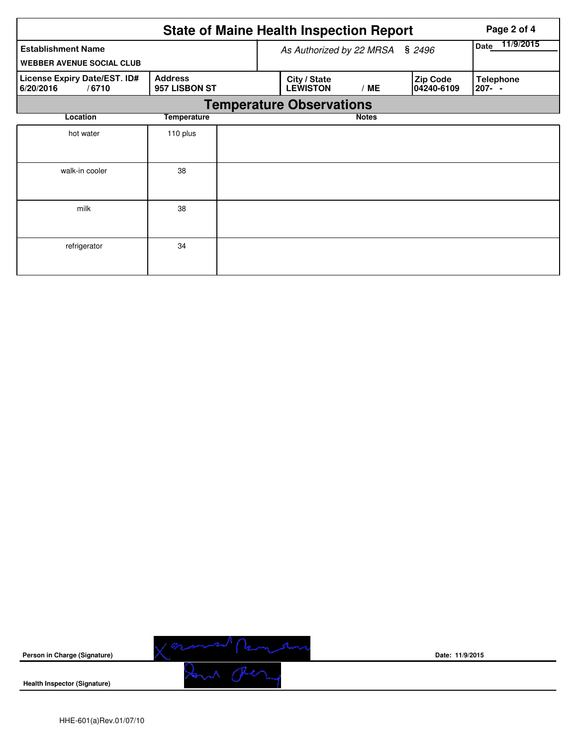|                                                               | Page 2 of 4                     |  |                                 |                   |                               |                            |  |  |  |  |
|---------------------------------------------------------------|---------------------------------|--|---------------------------------|-------------------|-------------------------------|----------------------------|--|--|--|--|
| <b>Establishment Name</b><br><b>WEBBER AVENUE SOCIAL CLUB</b> |                                 |  | As Authorized by 22 MRSA        | 11/9/2015<br>Date |                               |                            |  |  |  |  |
| License Expiry Date/EST. ID#<br>6/20/2016<br>/6710            | <b>Address</b><br>957 LISBON ST |  | City / State<br><b>LEWISTON</b> | /ME               | <b>Zip Code</b><br>04240-6109 | <b>Telephone</b><br>207- - |  |  |  |  |
| <b>Temperature Observations</b>                               |                                 |  |                                 |                   |                               |                            |  |  |  |  |
| Location<br><b>Temperature</b>                                |                                 |  |                                 | <b>Notes</b>      |                               |                            |  |  |  |  |
| hot water                                                     | 110 plus                        |  |                                 |                   |                               |                            |  |  |  |  |
| walk-in cooler                                                | 38                              |  |                                 |                   |                               |                            |  |  |  |  |
| milk                                                          | 38                              |  |                                 |                   |                               |                            |  |  |  |  |
| refrigerator                                                  | 34                              |  |                                 |                   |                               |                            |  |  |  |  |



**Date: 11/9/2015**

**Health Inspector (Signature)**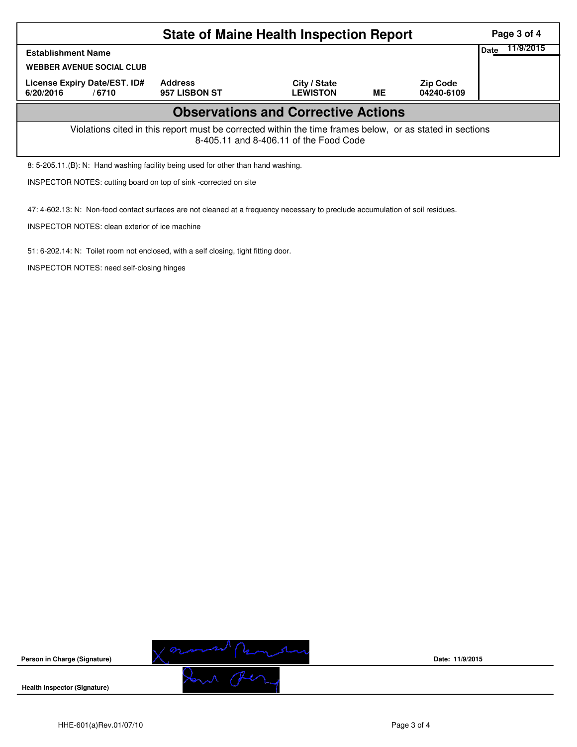|                                                                                                                                                    | Page 3 of 4                     |                                 |    |                               |             |           |  |  |  |
|----------------------------------------------------------------------------------------------------------------------------------------------------|---------------------------------|---------------------------------|----|-------------------------------|-------------|-----------|--|--|--|
| <b>Establishment Name</b>                                                                                                                          |                                 |                                 |    |                               | <b>Date</b> | 11/9/2015 |  |  |  |
| <b>WEBBER AVENUE SOCIAL CLUB</b>                                                                                                                   |                                 |                                 |    |                               |             |           |  |  |  |
| License Expiry Date/EST. ID#<br>6/20/2016<br>/6710                                                                                                 | <b>Address</b><br>957 LISBON ST | City / State<br><b>LEWISTON</b> | ME | <b>Zip Code</b><br>04240-6109 |             |           |  |  |  |
| <b>Observations and Corrective Actions</b>                                                                                                         |                                 |                                 |    |                               |             |           |  |  |  |
| Violations cited in this report must be corrected within the time frames below, or as stated in sections<br>8-405.11 and 8-406.11 of the Food Code |                                 |                                 |    |                               |             |           |  |  |  |
| 8: 5-205.11 (B): N: Hand washing facility being used for other than hand washing.                                                                  |                                 |                                 |    |                               |             |           |  |  |  |

INSPECTOR NOTES: cutting board on top of sink -corrected on site

47: 4-602.13: N: Non-food contact surfaces are not cleaned at a frequency necessary to preclude accumulation of soil residues.

INSPECTOR NOTES: clean exterior of ice machine

51: 6-202.14: N: Toilet room not enclosed, with a self closing, tight fitting door.

INSPECTOR NOTES: need self-closing hinges



**Date: 11/9/2015**

**Health Inspector (Signature)** 

**Person in Charge (Signature)**